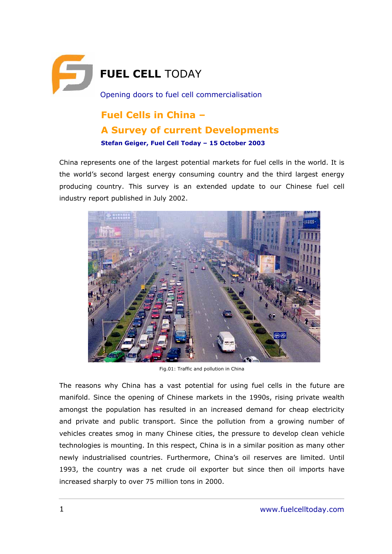

# **Fuel Cells in China -A Survey of current Developments**  Stefan Geiger, Fuel Cell Today - 15 October 2003

China represents one of the largest potential markets for fuel cells in the world. It is the world's second largest energy consuming country and the third largest energy producing country. This survey is an extended update to our Chinese fuel cell industry report published in July 2002.



Fig.01: Traffic and pollution in China

The reasons why China has a vast potential for using fuel cells in the future are manifold. Since the opening of Chinese markets in the 1990s, rising private wealth amongst the population has resulted in an increased demand for cheap electricity and private and public transport. Since the pollution from a growing number of vehicles creates smog in many Chinese cities, the pressure to develop clean vehicle technologies is mounting. In this respect, China is in a similar position as many other newly industrialised countries. Furthermore, Chinaís oil reserves are limited. Until 1993, the country was a net crude oil exporter but since then oil imports have increased sharply to over 75 million tons in 2000.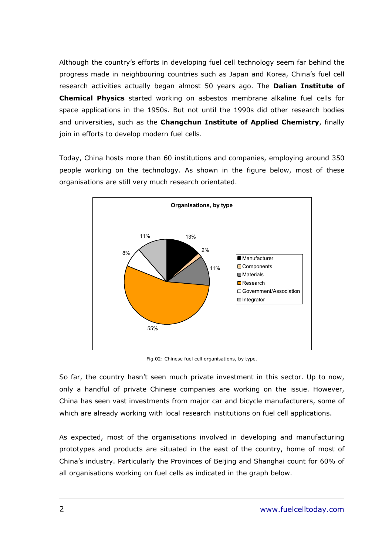Although the countryís efforts in developing fuel cell technology seem far behind the progress made in neighbouring countries such as Japan and Korea, Chinaís fuel cell research activities actually began almost 50 years ago. The **Dalian Institute of Chemical Physics** started working on asbestos membrane alkaline fuel cells for space applications in the 1950s. But not until the 1990s did other research bodies and universities, such as the **Changchun Institute of Applied Chemistry**, finally join in efforts to develop modern fuel cells.

Today, China hosts more than 60 institutions and companies, employing around 350 people working on the technology. As shown in the figure below, most of these organisations are still very much research orientated.



Fig.02: Chinese fuel cell organisations, by type.

So far, the country hasn't seen much private investment in this sector. Up to now, only a handful of private Chinese companies are working on the issue. However, China has seen vast investments from major car and bicycle manufacturers, some of which are already working with local research institutions on fuel cell applications.

As expected, most of the organisations involved in developing and manufacturing prototypes and products are situated in the east of the country, home of most of Chinaís industry. Particularly the Provinces of Beijing and Shanghai count for 60% of all organisations working on fuel cells as indicated in the graph below.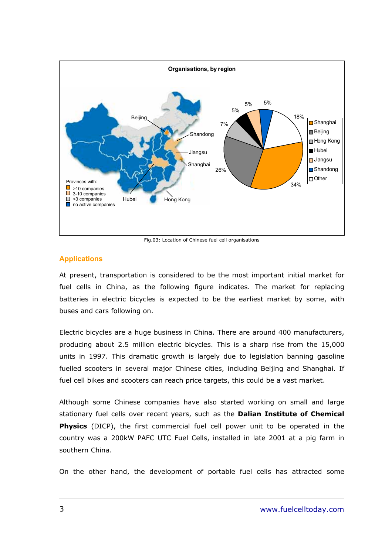

Fig.03: Location of Chinese fuel cell organisations

# **Applications**

At present, transportation is considered to be the most important initial market for fuel cells in China, as the following figure indicates. The market for replacing batteries in electric bicycles is expected to be the earliest market by some, with buses and cars following on.

Electric bicycles are a huge business in China. There are around 400 manufacturers, producing about 2.5 million electric bicycles. This is a sharp rise from the 15,000 units in 1997. This dramatic growth is largely due to legislation banning gasoline fuelled scooters in several major Chinese cities, including Beijing and Shanghai. If fuel cell bikes and scooters can reach price targets, this could be a vast market.

Although some Chinese companies have also started working on small and large stationary fuel cells over recent years, such as the **Dalian Institute of Chemical Physics** (DICP), the first commercial fuel cell power unit to be operated in the country was a 200kW PAFC UTC Fuel Cells, installed in late 2001 at a pig farm in southern China.

On the other hand, the development of portable fuel cells has attracted some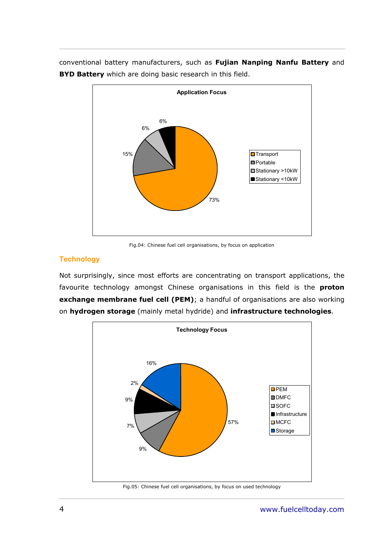conventional battery manufacturers, such as **Fujian Nanping Nanfu Battery** and **BYD Battery** which are doing basic research in this field.



Fig.04: Chinese fuel cell organisations, by focus on application

# **Technology**

Not surprisingly, since most efforts are concentrating on transport applications, the favourite technology amongst Chinese organisations in this field is the **proton exchange membrane fuel cell (PEM)**; a handful of organisations are also working on **hydrogen storage** (mainly metal hydride) and **infrastructure technologies**.

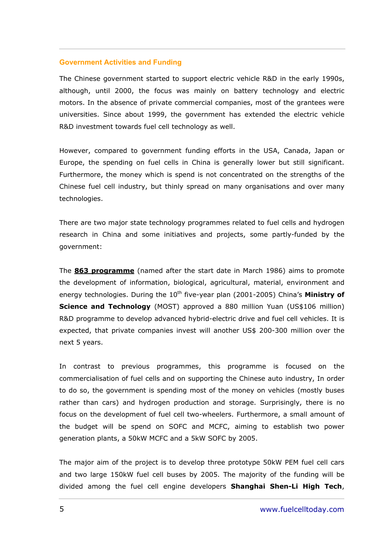#### **Government Activities and Funding**

The Chinese government started to support electric vehicle R&D in the early 1990s, although, until 2000, the focus was mainly on battery technology and electric motors. In the absence of private commercial companies, most of the grantees were universities. Since about 1999, the government has extended the electric vehicle R&D investment towards fuel cell technology as well.

However, compared to government funding efforts in the USA, Canada, Japan or Europe, the spending on fuel cells in China is generally lower but still significant. Furthermore, the money which is spend is not concentrated on the strengths of the Chinese fuel cell industry, but thinly spread on many organisations and over many technologies.

There are two major state technology programmes related to fuel cells and hydrogen research in China and some initiatives and projects, some partly-funded by the government:

The **863 programme** (named after the start date in March 1986) aims to promote the development of information, biological, agricultural, material, environment and energy technologies. During the 10<sup>th</sup> five-year plan (2001-2005) China's Ministry of **Science and Technology** (MOST) approved a 880 million Yuan (US\$106 million) R&D programme to develop advanced hybrid-electric drive and fuel cell vehicles. It is expected, that private companies invest will another US\$ 200-300 million over the next 5 years.

In contrast to previous programmes, this programme is focused on the commercialisation of fuel cells and on supporting the Chinese auto industry, In order to do so, the government is spending most of the money on vehicles (mostly buses rather than cars) and hydrogen production and storage. Surprisingly, there is no focus on the development of fuel cell two-wheelers. Furthermore, a small amount of the budget will be spend on SOFC and MCFC, aiming to establish two power generation plants, a 50kW MCFC and a 5kW SOFC by 2005.

The major aim of the project is to develop three prototype 50kW PEM fuel cell cars and two large 150kW fuel cell buses by 2005. The majority of the funding will be divided among the fuel cell engine developers **Shanghai Shen-Li High Tech**,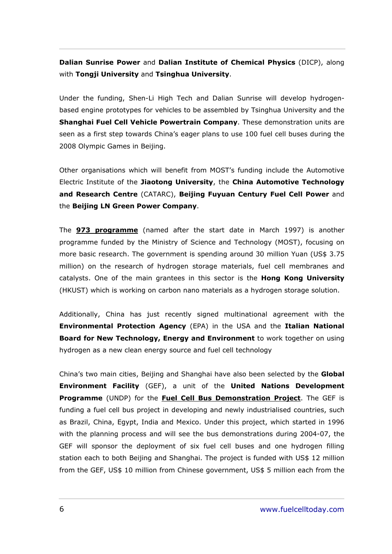**Dalian Sunrise Power** and **Dalian Institute of Chemical Physics** (DICP), along with **Tongji University** and **Tsinghua University**.

Under the funding, Shen-Li High Tech and Dalian Sunrise will develop hydrogenbased engine prototypes for vehicles to be assembled by Tsinghua University and the **Shanghai Fuel Cell Vehicle Powertrain Company**. These demonstration units are seen as a first step towards Chinaís eager plans to use 100 fuel cell buses during the 2008 Olympic Games in Beijing.

Other organisations which will benefit from MOSTís funding include the Automotive Electric Institute of the **Jiaotong University**, the **China Automotive Technology and Research Centre** (CATARC), **Beijing Fuyuan Century Fuel Cell Power** and the **Beijing LN Green Power Company**.

The **973 programme** (named after the start date in March 1997) is another programme funded by the Ministry of Science and Technology (MOST), focusing on more basic research. The government is spending around 30 million Yuan (US\$ 3.75 million) on the research of hydrogen storage materials, fuel cell membranes and catalysts. One of the main grantees in this sector is the **Hong Kong University** (HKUST) which is working on carbon nano materials as a hydrogen storage solution.

Additionally, China has just recently signed multinational agreement with the **Environmental Protection Agency** (EPA) in the USA and the **Italian National Board for New Technology, Energy and Environment** to work together on using hydrogen as a new clean energy source and fuel cell technology

Chinaís two main cities, Beijing and Shanghai have also been selected by the **Global Environment Facility** (GEF), a unit of the **United Nations Development Programme** (UNDP) for the **Fuel Cell Bus Demonstration Project**. The GEF is funding a fuel cell bus project in developing and newly industrialised countries, such as Brazil, China, Egypt, India and Mexico. Under this project, which started in 1996 with the planning process and will see the bus demonstrations during 2004-07, the GEF will sponsor the deployment of six fuel cell buses and one hydrogen filling station each to both Beijing and Shanghai. The project is funded with US\$ 12 million from the GEF, US\$ 10 million from Chinese government, US\$ 5 million each from the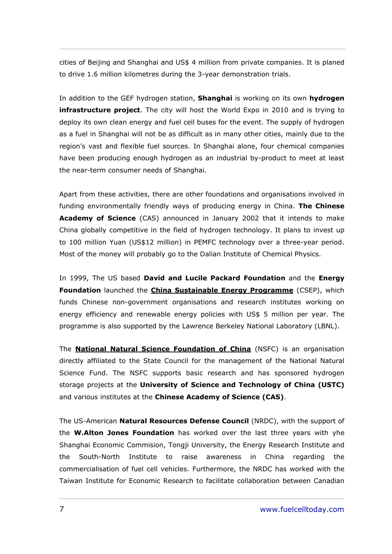cities of Beijing and Shanghai and US\$ 4 million from private companies. It is planed to drive 1.6 million kilometres during the 3-year demonstration trials.

In addition to the GEF hydrogen station, **Shanghai** is working on its own **hydrogen infrastructure project**. The city will host the World Expo in 2010 and is trying to deploy its own clean energy and fuel cell buses for the event. The supply of hydrogen as a fuel in Shanghai will not be as difficult as in many other cities, mainly due to the regionís vast and flexible fuel sources. In Shanghai alone, four chemical companies have been producing enough hydrogen as an industrial by-product to meet at least the near-term consumer needs of Shanghai.

Apart from these activities, there are other foundations and organisations involved in funding environmentally friendly ways of producing energy in China. **The Chinese Academy of Science** (CAS) announced in January 2002 that it intends to make China globally competitive in the field of hydrogen technology. It plans to invest up to 100 million Yuan (US\$12 million) in PEMFC technology over a three-year period. Most of the money will probably go to the Dalian Institute of Chemical Physics.

In 1999, The US based **David and Lucile Packard Foundation** and the **Energy Foundation** launched the **China Sustainable Energy Programme** (CSEP), which funds Chinese non-government organisations and research institutes working on energy efficiency and renewable energy policies with US\$ 5 million per year. The programme is also supported by the Lawrence Berkeley National Laboratory (LBNL).

The **National Natural Science Foundation of China** (NSFC) is an organisation directly affiliated to the State Council for the management of the National Natural Science Fund. The NSFC supports basic research and has sponsored hydrogen storage projects at the **University of Science and Technology of China (USTC)**  and various institutes at the **Chinese Academy of Science (CAS)**.

The US-American **Natural Resources Defense Council** (NRDC), with the support of the **W.Alton Jones Foundation** has worked over the last three years with yhe Shanghai Economic Commision, Tongji University, the Energy Research Institute and the South-North Institute to raise awareness in China regarding the commercialisation of fuel cell vehicles. Furthermore, the NRDC has worked with the Taiwan Institute for Economic Research to facilitate collaboration between Canadian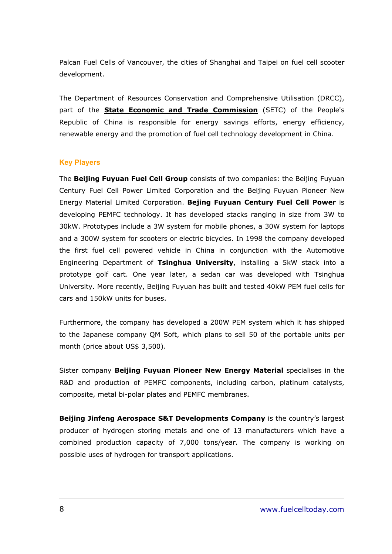Palcan Fuel Cells of Vancouver, the cities of Shanghai and Taipei on fuel cell scooter development.

The Department of Resources Conservation and Comprehensive Utilisation (DRCC), part of the **State Economic and Trade Commission** (SETC) of the People's Republic of China is responsible for energy savings efforts, energy efficiency, renewable energy and the promotion of fuel cell technology development in China.

## **Key Players**

The **Beijing Fuyuan Fuel Cell Group** consists of two companies: the Beijing Fuyuan Century Fuel Cell Power Limited Corporation and the Beijing Fuyuan Pioneer New Energy Material Limited Corporation. **Bejing Fuyuan Century Fuel Cell Power** is developing PEMFC technology. It has developed stacks ranging in size from 3W to 30kW. Prototypes include a 3W system for mobile phones, a 30W system for laptops and a 300W system for scooters or electric bicycles. In 1998 the company developed the first fuel cell powered vehicle in China in conjunction with the Automotive Engineering Department of **Tsinghua University**, installing a 5kW stack into a prototype golf cart. One year later, a sedan car was developed with Tsinghua University. More recently, Beijing Fuyuan has built and tested 40kW PEM fuel cells for cars and 150kW units for buses.

Furthermore, the company has developed a 200W PEM system which it has shipped to the Japanese company QM Soft, which plans to sell 50 of the portable units per month (price about US\$ 3,500).

Sister company **Beijing Fuyuan Pioneer New Energy Material** specialises in the R&D and production of PEMFC components, including carbon, platinum catalysts, composite, metal bi-polar plates and PEMFC membranes.

**Beijing Jinfeng Aerospace S&T Developments Company** is the country's largest producer of hydrogen storing metals and one of 13 manufacturers which have a combined production capacity of 7,000 tons/year. The company is working on possible uses of hydrogen for transport applications.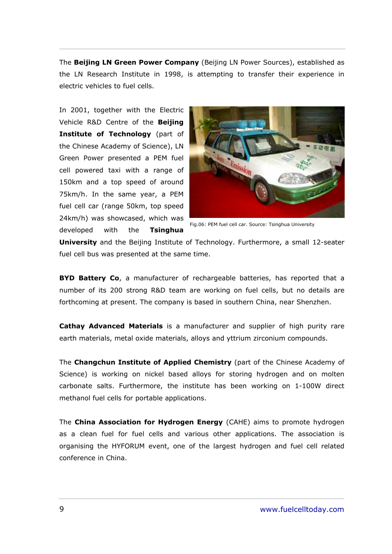The **Beijing LN Green Power Company** (Beijing LN Power Sources), established as the LN Research Institute in 1998, is attempting to transfer their experience in electric vehicles to fuel cells.

In 2001, together with the Electric Vehicle R&D Centre of the **Beijing Institute of Technology** (part of the Chinese Academy of Science), LN Green Power presented a PEM fuel cell powered taxi with a range of 150km and a top speed of around 75km/h. In the same year, a PEM fuel cell car (range 50km, top speed 24km/h) was showcased, which was developed with the **Tsinghua** 



Fig.06: PEM fuel cell car. Source: Tsinghua University

**University** and the Beijing Institute of Technology. Furthermore, a small 12-seater fuel cell bus was presented at the same time.

**BYD Battery Co**, a manufacturer of rechargeable batteries, has reported that a number of its 200 strong R&D team are working on fuel cells, but no details are forthcoming at present. The company is based in southern China, near Shenzhen.

**Cathay Advanced Materials** is a manufacturer and supplier of high purity rare earth materials, metal oxide materials, alloys and yttrium zirconium compounds.

The **Changchun Institute of Applied Chemistry** (part of the Chinese Academy of Science) is working on nickel based alloys for storing hydrogen and on molten carbonate salts. Furthermore, the institute has been working on 1-100W direct methanol fuel cells for portable applications.

The **China Association for Hydrogen Energy** (CAHE) aims to promote hydrogen as a clean fuel for fuel cells and various other applications. The association is organising the HYFORUM event, one of the largest hydrogen and fuel cell related conference in China.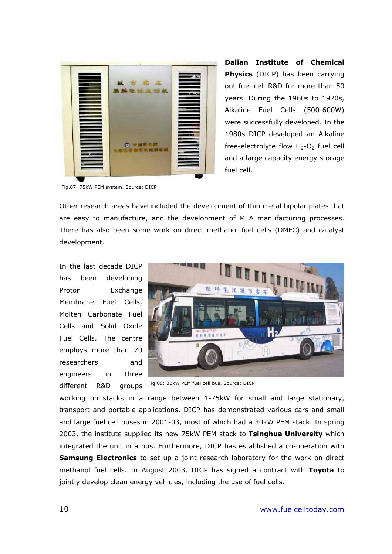

**Dalian Institute of Chemical Physics** (DICP) has been carrying out fuel cell R&D for more than 50 years. During the 1960s to 1970s, Alkaline Fuel Cells (500-600W) were successfully developed. In the 1980s DICP developed an Alkaline free-electrolyte flow  $H_2$ -O<sub>2</sub> fuel cell and a large capacity energy storage fuel cell.

Fig.07: 75kW PEM system. Source: DICP

Other research areas have included the development of thin metal bipolar plates that are easy to manufacture, and the development of MEA manufacturing processes. There has also been some work on direct methanol fuel cells (DMFC) and catalyst development.

In the last decade DICP has been developing Proton Exchange Membrane Fuel Cells, Molten Carbonate Fuel Cells and Solid Oxide Fuel Cells. The centre employs more than 70 researchers and engineers in three different R&D groups



Fig.08: 30kW PEM fuel cell bus. Source: DICP

working on stacks in a range between 1-75kW for small and large stationary, transport and portable applications. DICP has demonstrated various cars and small and large fuel cell buses in 2001-03, most of which had a 30kW PEM stack. In spring 2003, the institute supplied its new 75kW PEM stack to **Tsinghua University** which integrated the unit in a bus. Furthermore, DICP has established a co-operation with **Samsung Electronics** to set up a joint research laboratory for the work on direct methanol fuel cells. In August 2003, DICP has signed a contract with **Toyota** to jointly develop clean energy vehicles, including the use of fuel cells.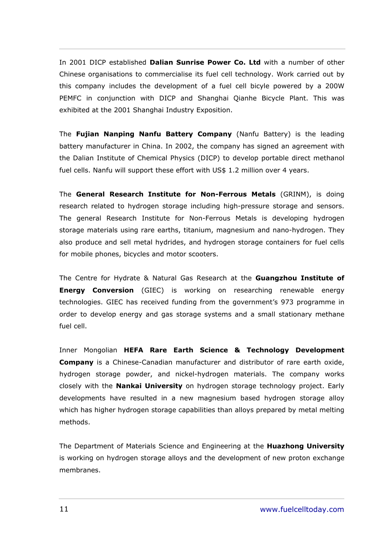In 2001 DICP established **Dalian Sunrise Power Co. Ltd** with a number of other Chinese organisations to commercialise its fuel cell technology. Work carried out by this company includes the development of a fuel cell bicyle powered by a 200W PEMFC in conjunction with DICP and Shanghai Qianhe Bicycle Plant. This was exhibited at the 2001 Shanghai Industry Exposition.

The **Fujian Nanping Nanfu Battery Company** (Nanfu Battery) is the leading battery manufacturer in China. In 2002, the company has signed an agreement with the Dalian Institute of Chemical Physics (DICP) to develop portable direct methanol fuel cells. Nanfu will support these effort with US\$ 1.2 million over 4 years.

The **General Research Institute for Non-Ferrous Metals** (GRINM), is doing research related to hydrogen storage including high-pressure storage and sensors. The general Research Institute for Non-Ferrous Metals is developing hydrogen storage materials using rare earths, titanium, magnesium and nano-hydrogen. They also produce and sell metal hydrides, and hydrogen storage containers for fuel cells for mobile phones, bicycles and motor scooters.

The Centre for Hydrate & Natural Gas Research at the **Guangzhou Institute of Energy Conversion** (GIEC) is working on researching renewable energy technologies. GIEC has received funding from the governmentís 973 programme in order to develop energy and gas storage systems and a small stationary methane fuel cell.

Inner Mongolian **HEFA Rare Earth Science & Technology Development Company** is a Chinese-Canadian manufacturer and distributor of rare earth oxide, hydrogen storage powder, and nickel-hydrogen materials. The company works closely with the **Nankai University** on hydrogen storage technology project. Early developments have resulted in a new magnesium based hydrogen storage alloy which has higher hydrogen storage capabilities than alloys prepared by metal melting methods.

The Department of Materials Science and Engineering at the **Huazhong University** is working on hydrogen storage alloys and the development of new proton exchange membranes.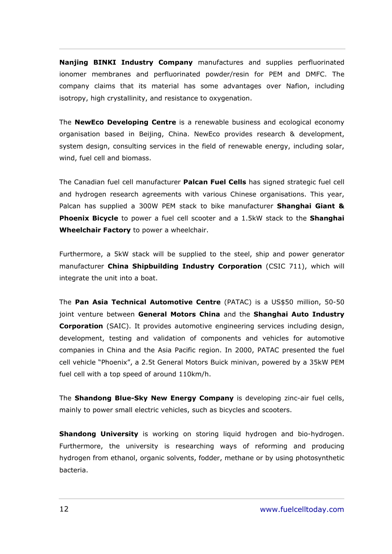**Nanjing BINKI Industry Company** manufactures and supplies perfluorinated ionomer membranes and perfluorinated powder/resin for PEM and DMFC. The company claims that its material has some advantages over Nafion, including isotropy, high crystallinity, and resistance to oxygenation.

The **NewEco Developing Centre** is a renewable business and ecological economy organisation based in Beijing, China. NewEco provides research & development, system design, consulting services in the field of renewable energy, including solar, wind, fuel cell and biomass.

The Canadian fuel cell manufacturer **Palcan Fuel Cells** has signed strategic fuel cell and hydrogen research agreements with various Chinese organisations. This year, Palcan has supplied a 300W PEM stack to bike manufacturer **Shanghai Giant & Phoenix Bicycle** to power a fuel cell scooter and a 1.5kW stack to the **Shanghai Wheelchair Factory** to power a wheelchair.

Furthermore, a 5kW stack will be supplied to the steel, ship and power generator manufacturer **China Shipbuilding Industry Corporation** (CSIC 711), which will integrate the unit into a boat.

The **Pan Asia Technical Automotive Centre** (PATAC) is a US\$50 million, 50-50 joint venture between **General Motors China** and the **Shanghai Auto Industry Corporation** (SAIC). It provides automotive engineering services including design, development, testing and validation of components and vehicles for automotive companies in China and the Asia Pacific region. In 2000, PATAC presented the fuel cell vehicle "Phoenix", a 2.5t General Motors Buick minivan, powered by a 35kW PEM fuel cell with a top speed of around 110km/h.

The **Shandong Blue-Sky New Energy Company** is developing zinc-air fuel cells, mainly to power small electric vehicles, such as bicycles and scooters.

**Shandong University** is working on storing liquid hydrogen and bio-hydrogen. Furthermore, the university is researching ways of reforming and producing hydrogen from ethanol, organic solvents, fodder, methane or by using photosynthetic bacteria.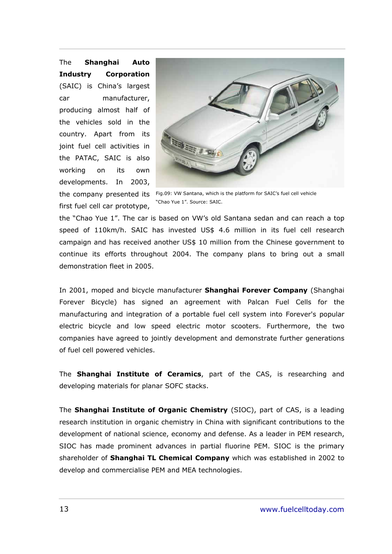The **Shanghai Auto Industry Corporation** (SAIC) is China's largest car manufacturer, producing almost half of the vehicles sold in the country. Apart from its joint fuel cell activities in the PATAC, SAIC is also working on its own developments. In 2003, first fuel cell car prototype,



the company presented its Fig.09: VW Santana, which is the platform for SAICís fuel cell vehicle "Chao Yue 1". Source: SAIC.

the "Chao Yue 1". The car is based on VW's old Santana sedan and can reach a top speed of 110km/h. SAIC has invested US\$ 4.6 million in its fuel cell research campaign and has received another US\$ 10 million from the Chinese government to continue its efforts throughout 2004. The company plans to bring out a small demonstration fleet in 2005.

In 2001, moped and bicycle manufacturer **Shanghai Forever Company** (Shanghai Forever Bicycle) has signed an agreement with Palcan Fuel Cells for the manufacturing and integration of a portable fuel cell system into Forever's popular electric bicycle and low speed electric motor scooters. Furthermore, the two companies have agreed to jointly development and demonstrate further generations of fuel cell powered vehicles.

The **Shanghai Institute of Ceramics**, part of the CAS, is researching and developing materials for planar SOFC stacks.

The **Shanghai Institute of Organic Chemistry** (SIOC), part of CAS, is a leading research institution in organic chemistry in China with significant contributions to the development of national science, economy and defense. As a leader in PEM research, SIOC has made prominent advances in partial fluorine PEM. SIOC is the primary shareholder of **Shanghai TL Chemical Company** which was established in 2002 to develop and commercialise PEM and MEA technologies.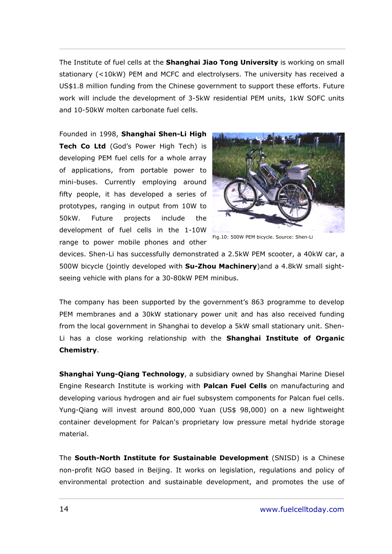The Institute of fuel cells at the **Shanghai Jiao Tong University** is working on small stationary (<10kW) PEM and MCFC and electrolysers. The university has received a US\$1.8 million funding from the Chinese government to support these efforts. Future work will include the development of 3-5kW residential PEM units, 1kW SOFC units and 10-50kW molten carbonate fuel cells.

Founded in 1998, **Shanghai Shen-Li High Tech Co Ltd** (God's Power High Tech) is developing PEM fuel cells for a whole array of applications, from portable power to mini-buses. Currently employing around fifty people, it has developed a series of prototypes, ranging in output from 10W to 50kW. Future projects include the development of fuel cells in the 1-10W range to power mobile phones and other



Fig.10: 500W PEM bicycle. Source: Shen-Li

devices. Shen-Li has successfully demonstrated a 2.5kW PEM scooter, a 40kW car, a 500W bicycle (jointly developed with **Su-Zhou Machinery**)and a 4.8kW small sightseeing vehicle with plans for a 30-80kW PEM minibus.

The company has been supported by the government's 863 programme to develop PEM membranes and a 30kW stationary power unit and has also received funding from the local government in Shanghai to develop a 5kW small stationary unit. Shen-Li has a close working relationship with the **Shanghai Institute of Organic Chemistry**.

**Shanghai Yung-Qiang Technology**, a subsidiary owned by Shanghai Marine Diesel Engine Research Institute is working with **Palcan Fuel Cells** on manufacturing and developing various hydrogen and air fuel subsystem components for Palcan fuel cells. Yung-Qiang will invest around 800,000 Yuan (US\$ 98,000) on a new lightweight container development for Palcan's proprietary low pressure metal hydride storage material.

The **South-North Institute for Sustainable Development** (SNISD) is a Chinese non-profit NGO based in Beijing. It works on legislation, regulations and policy of environmental protection and sustainable development, and promotes the use of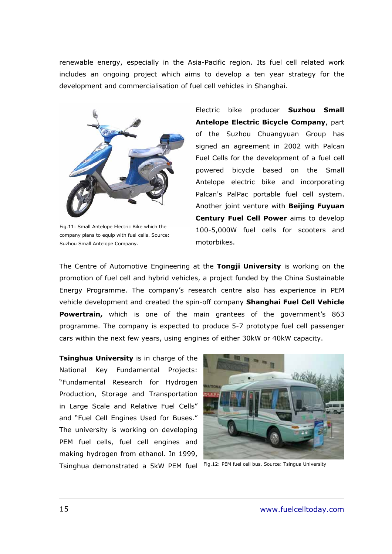renewable energy, especially in the Asia-Pacific region. Its fuel cell related work includes an ongoing project which aims to develop a ten year strategy for the development and commercialisation of fuel cell vehicles in Shanghai.



Fig.11: Small Antelope Electric Bike which the company plans to equip with fuel cells. Source: Suzhou Small Antelope Company.

Electric bike producer **Suzhou Small Antelope Electric Bicycle Company**, part of the Suzhou Chuangyuan Group has signed an agreement in 2002 with Palcan Fuel Cells for the development of a fuel cell powered bicycle based on the Small Antelope electric bike and incorporating Palcan's PalPac portable fuel cell system. Another joint venture with **Beijing Fuyuan Century Fuel Cell Power** aims to develop 100-5,000W fuel cells for scooters and motorbikes.

The Centre of Automotive Engineering at the **Tongji University** is working on the promotion of fuel cell and hybrid vehicles, a project funded by the China Sustainable Energy Programme. The companyís research centre also has experience in PEM vehicle development and created the spin-off company **Shanghai Fuel Cell Vehicle**  Powertrain, which is one of the main grantees of the government's 863 programme. The company is expected to produce 5-7 prototype fuel cell passenger cars within the next few years, using engines of either 30kW or 40kW capacity.

**Tsinghua University** is in charge of the National Key Fundamental Projects: ìFundamental Research for Hydrogen Production, Storage and Transportation in Large Scale and Relative Fuel Cells" and "Fuel Cell Engines Used for Buses." The university is working on developing PEM fuel cells, fuel cell engines and making hydrogen from ethanol. In 1999, Tsinghua demonstrated a 5kW PEM fuel Fig.12: PEM fuel cell bus. Source: Tsingua University